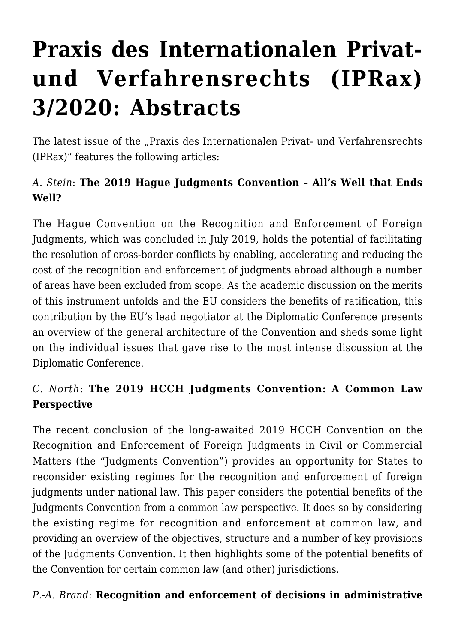# **[Praxis des Internationalen Privat](https://conflictoflaws.net/2020/praxis-des-internationalen-privat-und-verfahrensrechts-iprax-3-2020-abstracts/)[und Verfahrensrechts \(IPRax\)](https://conflictoflaws.net/2020/praxis-des-internationalen-privat-und-verfahrensrechts-iprax-3-2020-abstracts/) [3/2020: Abstracts](https://conflictoflaws.net/2020/praxis-des-internationalen-privat-und-verfahrensrechts-iprax-3-2020-abstracts/)**

The latest issue of the "Praxis des Internationalen Privat- und Verfahrensrechts (IPRax)" features the following articles:

## *A. Stein*: **The 2019 Hague Judgments Convention – All's Well that Ends Well?**

The Hague Convention on the Recognition and Enforcement of Foreign Judgments, which was concluded in July 2019, holds the potential of facilitating the resolution of cross-border conflicts by enabling, accelerating and reducing the cost of the recognition and enforcement of judgments abroad although a number of areas have been excluded from scope. As the academic discussion on the merits of this instrument unfolds and the EU considers the benefits of ratification, this contribution by the EU's lead negotiator at the Diplomatic Conference presents an overview of the general architecture of the Convention and sheds some light on the individual issues that gave rise to the most intense discussion at the Diplomatic Conference.

## *C. North*: **The 2019 HCCH Judgments Convention: A Common Law Perspective**

The recent conclusion of the long-awaited 2019 HCCH Convention on the Recognition and Enforcement of Foreign Judgments in Civil or Commercial Matters (the "Judgments Convention") provides an opportunity for States to reconsider existing regimes for the recognition and enforcement of foreign judgments under national law. This paper considers the potential benefits of the Judgments Convention from a common law perspective. It does so by considering the existing regime for recognition and enforcement at common law, and providing an overview of the objectives, structure and a number of key provisions of the Judgments Convention. It then highlights some of the potential benefits of the Convention for certain common law (and other) jurisdictions.

#### *P.-A. Brand*: **Recognition and enforcement of decisions in administrative**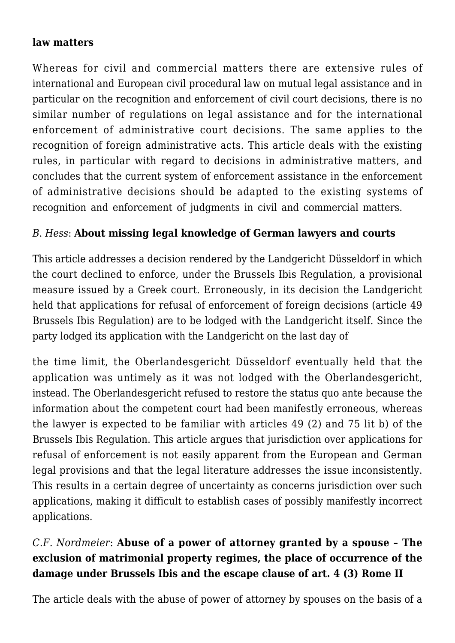#### **law matters**

Whereas for civil and commercial matters there are extensive rules of international and European civil procedural law on mutual legal assistance and in particular on the recognition and enforcement of civil court decisions, there is no similar number of regulations on legal assistance and for the international enforcement of administrative court decisions. The same applies to the recognition of foreign administrative acts. This article deals with the existing rules, in particular with regard to decisions in administrative matters, and concludes that the current system of enforcement assistance in the enforcement of administrative decisions should be adapted to the existing systems of recognition and enforcement of judgments in civil and commercial matters.

#### *B*. *Hess*: **About missing legal knowledge of German lawyers and courts**

This article addresses a decision rendered by the Landgericht Düsseldorf in which the court declined to enforce, under the Brussels Ibis Regulation, a provisional measure issued by a Greek court. Erroneously, in its decision the Landgericht held that applications for refusal of enforcement of foreign decisions (article 49 Brussels Ibis Regulation) are to be lodged with the Landgericht itself. Since the party lodged its application with the Landgericht on the last day of

the time limit, the Oberlandesgericht Düsseldorf eventually held that the application was untimely as it was not lodged with the Oberlandesgericht, instead. The Oberlandesgericht refused to restore the status quo ante because the information about the competent court had been manifestly erroneous, whereas the lawyer is expected to be familiar with articles 49 (2) and 75 lit b) of the Brussels Ibis Regulation. This article argues that jurisdiction over applications for refusal of enforcement is not easily apparent from the European and German legal provisions and that the legal literature addresses the issue inconsistently. This results in a certain degree of uncertainty as concerns jurisdiction over such applications, making it difficult to establish cases of possibly manifestly incorrect applications.

## *C.F. Nordmeier*: **Abuse of a power of attorney granted by a spouse – The exclusion of matrimonial property regimes, the place of occurrence of the damage under Brussels Ibis and the escape clause of art. 4 (3) Rome II**

The article deals with the abuse of power of attorney by spouses on the basis of a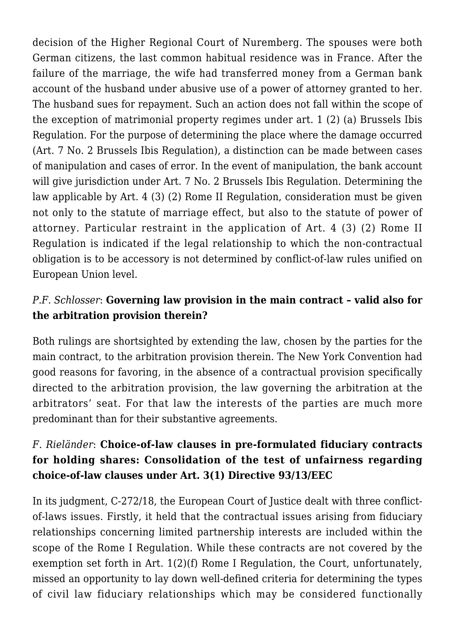decision of the Higher Regional Court of Nuremberg. The spouses were both German citizens, the last common habitual residence was in France. After the failure of the marriage, the wife had transferred money from a German bank account of the husband under abusive use of a power of attorney granted to her. The husband sues for repayment. Such an action does not fall within the scope of the exception of matrimonial property regimes under art. 1 (2) (a) Brussels Ibis Regulation. For the purpose of determining the place where the damage occurred (Art. 7 No. 2 Brussels Ibis Regulation), a distinction can be made between cases of manipulation and cases of error. In the event of manipulation, the bank account will give jurisdiction under Art. 7 No. 2 Brussels Ibis Regulation. Determining the law applicable by Art. 4 (3) (2) Rome II Regulation, consideration must be given not only to the statute of marriage effect, but also to the statute of power of attorney. Particular restraint in the application of Art. 4 (3) (2) Rome II Regulation is indicated if the legal relationship to which the non-contractual obligation is to be accessory is not determined by conflict-of-law rules unified on European Union level.

#### *P.F. Schlosser*: **Governing law provision in the main contract – valid also for the arbitration provision therein?**

Both rulings are shortsighted by extending the law, chosen by the parties for the main contract, to the arbitration provision therein. The New York Convention had good reasons for favoring, in the absence of a contractual provision specifically directed to the arbitration provision, the law governing the arbitration at the arbitrators' seat. For that law the interests of the parties are much more predominant than for their substantive agreements.

### *F. Rieländer*: **Choice-of-law clauses in pre-formulated fiduciary contracts for holding shares: Consolidation of the test of unfairness regarding choice-of-law clauses under Art. 3(1) Directive 93/13/EEC**

In its judgment, C-272/18, the European Court of Justice dealt with three conflictof-laws issues. Firstly, it held that the contractual issues arising from fiduciary relationships concerning limited partnership interests are included within the scope of the Rome I Regulation. While these contracts are not covered by the exemption set forth in Art. 1(2)(f) Rome I Regulation, the Court, unfortunately, missed an opportunity to lay down well-defined criteria for determining the types of civil law fiduciary relationships which may be considered functionally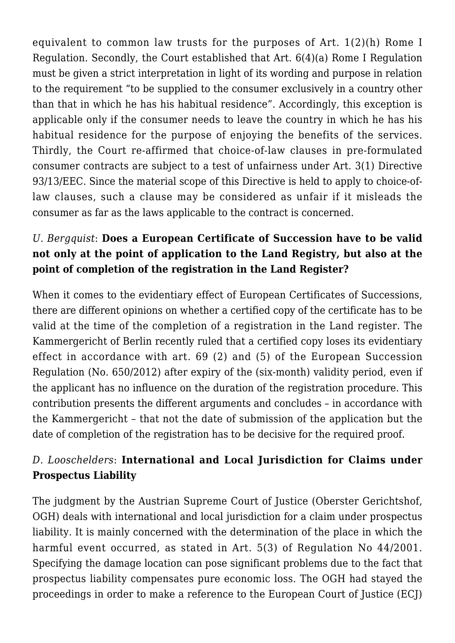equivalent to common law trusts for the purposes of Art. 1(2)(h) Rome I Regulation. Secondly, the Court established that Art. 6(4)(a) Rome I Regulation must be given a strict interpretation in light of its wording and purpose in relation to the requirement "to be supplied to the consumer exclusively in a country other than that in which he has his habitual residence". Accordingly, this exception is applicable only if the consumer needs to leave the country in which he has his habitual residence for the purpose of enjoying the benefits of the services. Thirdly, the Court re-affirmed that choice-of-law clauses in pre-formulated consumer contracts are subject to a test of unfairness under Art. 3(1) Directive 93/13/EEC. Since the material scope of this Directive is held to apply to choice-oflaw clauses, such a clause may be considered as unfair if it misleads the consumer as far as the laws applicable to the contract is concerned.

## *U. Bergquist*: **Does a European Certificate of Succession have to be valid not only at the point of application to the Land Registry, but also at the point of completion of the registration in the Land Register?**

When it comes to the evidentiary effect of European Certificates of Successions, there are different opinions on whether a certified copy of the certificate has to be valid at the time of the completion of a registration in the Land register. The Kammergericht of Berlin recently ruled that a certified copy loses its evidentiary effect in accordance with art. 69 (2) and (5) of the European Succession Regulation (No. 650/2012) after expiry of the (six-month) validity period, even if the applicant has no influence on the duration of the registration procedure. This contribution presents the different arguments and concludes – in accordance with the Kammergericht – that not the date of submission of the application but the date of completion of the registration has to be decisive for the required proof.

## *D. Looschelders*: **International and Local Jurisdiction for Claims under Prospectus Liability**

The judgment by the Austrian Supreme Court of Justice (Oberster Gerichtshof, OGH) deals with international and local jurisdiction for a claim under prospectus liability. It is mainly concerned with the determination of the place in which the harmful event occurred, as stated in Art. 5(3) of Regulation No 44/2001. Specifying the damage location can pose significant problems due to the fact that prospectus liability compensates pure economic loss. The OGH had stayed the proceedings in order to make a reference to the European Court of Justice (ECJ)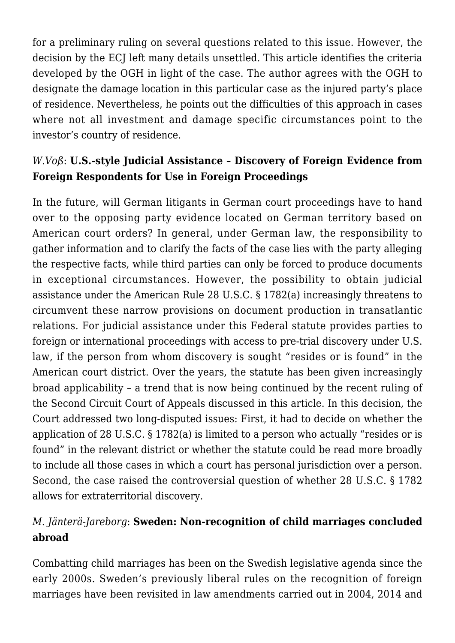for a preliminary ruling on several questions related to this issue. However, the decision by the ECJ left many details unsettled. This article identifies the criteria developed by the OGH in light of the case. The author agrees with the OGH to designate the damage location in this particular case as the injured party's place of residence. Nevertheless, he points out the difficulties of this approach in cases where not all investment and damage specific circumstances point to the investor's country of residence.

## *W*.*Voß*: **U.S.-style Judicial Assistance – Discovery of Foreign Evidence from Foreign Respondents for Use in Foreign Proceedings**

In the future, will German litigants in German court proceedings have to hand over to the opposing party evidence located on German territory based on American court orders? In general, under German law, the responsibility to gather information and to clarify the facts of the case lies with the party alleging the respective facts, while third parties can only be forced to produce documents in exceptional circumstances. However, the possibility to obtain judicial assistance under the American Rule 28 U.S.C. § 1782(a) increasingly threatens to circumvent these narrow provisions on document production in transatlantic relations. For judicial assistance under this Federal statute provides parties to foreign or international proceedings with access to pre-trial discovery under U.S. law, if the person from whom discovery is sought "resides or is found" in the American court district. Over the years, the statute has been given increasingly broad applicability – a trend that is now being continued by the recent ruling of the Second Circuit Court of Appeals discussed in this article. In this decision, the Court addressed two long-disputed issues: First, it had to decide on whether the application of 28 U.S.C. § 1782(a) is limited to a person who actually "resides or is found" in the relevant district or whether the statute could be read more broadly to include all those cases in which a court has personal jurisdiction over a person. Second, the case raised the controversial question of whether 28 U.S.C. § 1782 allows for extraterritorial discovery.

#### *M. Jänterä-Jareborg*: **Sweden: Non-recognition of child marriages concluded abroad**

Combatting child marriages has been on the Swedish legislative agenda since the early 2000s. Sweden's previously liberal rules on the recognition of foreign marriages have been revisited in law amendments carried out in 2004, 2014 and